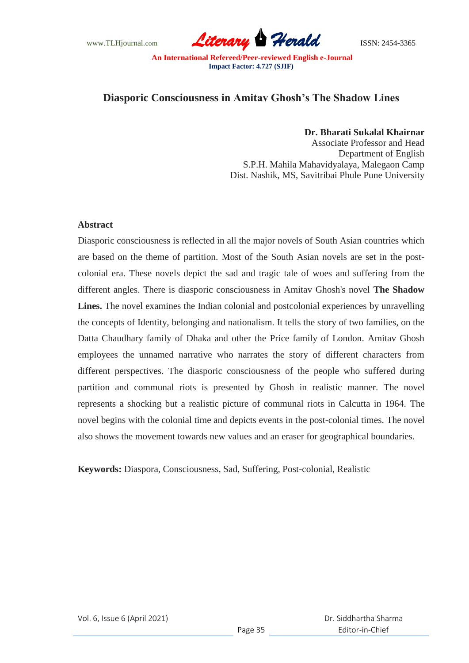www.TLHjournal.com **Literary Herald ISSN: 2454-3365** 

## **Diasporic Consciousness in Amitav Ghosh's The Shadow Lines**

## **Dr. Bharati Sukalal Khairnar**

Associate Professor and Head Department of English S.P.H. Mahila Mahavidyalaya, Malegaon Camp Dist. Nashik, MS, Savitribai Phule Pune University

## **Abstract**

Diasporic consciousness is reflected in all the major novels of South Asian countries which are based on the theme of partition. Most of the South Asian novels are set in the postcolonial era. These novels depict the sad and tragic tale of woes and suffering from the different angles. There is diasporic consciousness in Amitav Ghosh's novel **The Shadow Lines.** The novel examines the Indian colonial and postcolonial experiences by unravelling the concepts of Identity, belonging and nationalism. It tells the story of two families, on the Datta Chaudhary family of Dhaka and other the Price family of London. Amitav Ghosh employees the unnamed narrative who narrates the story of different characters from different perspectives. The diasporic consciousness of the people who suffered during partition and communal riots is presented by Ghosh in realistic manner. The novel represents a shocking but a realistic picture of communal riots in Calcutta in 1964. The novel begins with the colonial time and depicts events in the post-colonial times. The novel also shows the movement towards new values and an eraser for geographical boundaries.

**Keywords:** Diaspora, Consciousness, Sad, Suffering, Post-colonial, Realistic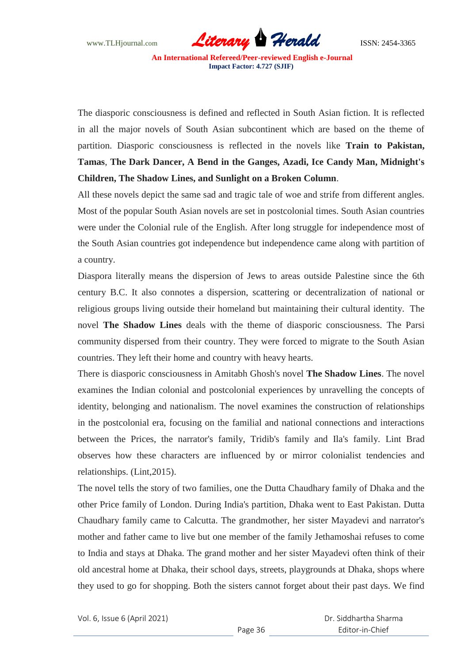The diasporic consciousness is defined and reflected in South Asian fiction. It is reflected in all the major novels of South Asian subcontinent which are based on the theme of partition. Diasporic consciousness is reflected in the novels like **Train to Pakistan, Tamas**, **The Dark Dancer, A Bend in the Ganges, Azadi, Ice Candy Man, Midnight's Children, The Shadow Lines, and Sunlight on a Broken Column**.

All these novels depict the same sad and tragic tale of woe and strife from different angles. Most of the popular South Asian novels are set in postcolonial times. South Asian countries were under the Colonial rule of the English. After long struggle for independence most of the South Asian countries got independence but independence came along with partition of a country.

Diaspora literally means the dispersion of Jews to areas outside Palestine since the 6th century B.C. It also connotes a dispersion, scattering or decentralization of national or religious groups living outside their homeland but maintaining their cultural identity. The novel **The Shadow Lines** deals with the theme of diasporic consciousness. The Parsi community dispersed from their country. They were forced to migrate to the South Asian countries. They left their home and country with heavy hearts.

There is diasporic consciousness in Amitabh Ghosh's novel **The Shadow Lines**. The novel examines the Indian colonial and postcolonial experiences by unravelling the concepts of identity, belonging and nationalism. The novel examines the construction of relationships in the postcolonial era, focusing on the familial and national connections and interactions between the Prices, the narrator's family, Tridib's family and Ila's family. Lint Brad observes how these characters are influenced by or mirror colonialist tendencies and relationships. (Lint,2015).

The novel tells the story of two families, one the Dutta Chaudhary family of Dhaka and the other Price family of London. During India's partition, Dhaka went to East Pakistan. Dutta Chaudhary family came to Calcutta. The grandmother, her sister Mayadevi and narrator's mother and father came to live but one member of the family Jethamoshai refuses to come to India and stays at Dhaka. The grand mother and her sister Mayadevi often think of their old ancestral home at Dhaka, their school days, streets, playgrounds at Dhaka, shops where they used to go for shopping. Both the sisters cannot forget about their past days. We find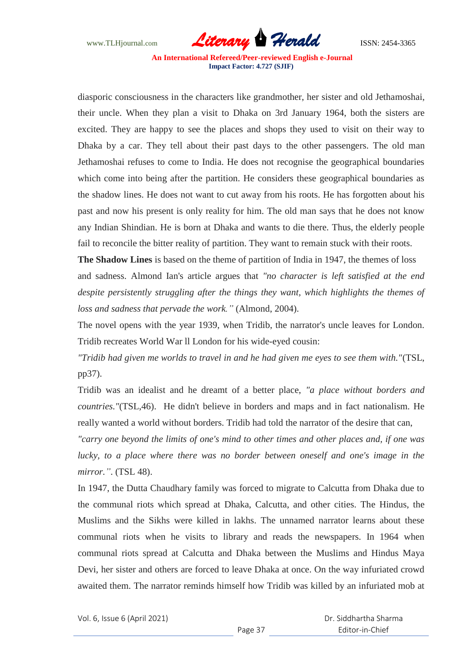www.TLHjournal.com **Literary Herald ISSN: 2454-3365** 

diasporic consciousness in the characters like grandmother, her sister and old Jethamoshai, their uncle. When they plan a visit to Dhaka on 3rd January 1964, both the sisters are excited. They are happy to see the places and shops they used to visit on their way to Dhaka by a car. They tell about their past days to the other passengers. The old man Jethamoshai refuses to come to India. He does not recognise the geographical boundaries which come into being after the partition. He considers these geographical boundaries as the shadow lines. He does not want to cut away from his roots. He has forgotten about his past and now his present is only reality for him. The old man says that he does not know any Indian Shindian. He is born at Dhaka and wants to die there. Thus, the elderly people fail to reconcile the bitter reality of partition. They want to remain stuck with their roots.

**The Shadow Lines** is based on the theme of partition of India in 1947, the themes of loss and sadness. Almond Ian's article argues that *"no character is left satisfied at the end despite persistently struggling after the things they want, which highlights the themes of loss and sadness that pervade the work."* (Almond, 2004).

The novel opens with the year 1939, when Tridib, the narrator's uncle leaves for London. Tridib recreates World War ll London for his wide-eyed cousin:

*"Tridib had given me worlds to travel in and he had given me eyes to see them with."*(TSL, pp37).

Tridib was an idealist and he dreamt of a better place, *"a place without borders and countries."*(TSL,46). He didn't believe in borders and maps and in fact nationalism. He really wanted a world without borders. Tridib had told the narrator of the desire that can,

*"carry one beyond the limits of one's mind to other times and other places and, if one was lucky, to a place where there was no border between oneself and one's image in the mirror."*. (TSL 48).

In 1947, the Dutta Chaudhary family was forced to migrate to Calcutta from Dhaka due to the communal riots which spread at Dhaka, Calcutta, and other cities. The Hindus, the Muslims and the Sikhs were killed in lakhs. The unnamed narrator learns about these communal riots when he visits to library and reads the newspapers. In 1964 when communal riots spread at Calcutta and Dhaka between the Muslims and Hindus Maya Devi, her sister and others are forced to leave Dhaka at once. On the way infuriated crowd awaited them. The narrator reminds himself how Tridib was killed by an infuriated mob at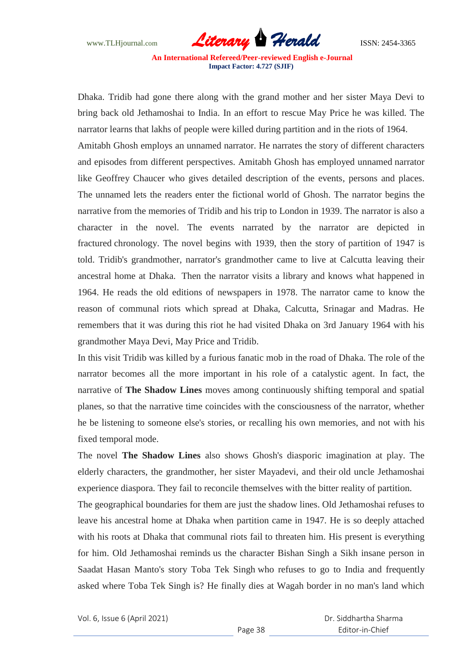www.TLHjournal.com **Literary Herald ISSN: 2454-3365** 

Dhaka. Tridib had gone there along with the grand mother and her sister Maya Devi to bring back old Jethamoshai to India. In an effort to rescue May Price he was killed. The narrator learns that lakhs of people were killed during partition and in the riots of 1964. Amitabh Ghosh employs an unnamed narrator. He narrates the story of different characters and episodes from different perspectives. Amitabh Ghosh has employed unnamed narrator like Geoffrey Chaucer who gives detailed description of the events, persons and places. The unnamed lets the readers enter the fictional world of Ghosh. The narrator begins the narrative from the memories of Tridib and his trip to London in 1939. The narrator is also a character in the novel. The events narrated by the narrator are depicted in fractured chronology. The novel begins with 1939, then the story of partition of 1947 is told. Tridib's grandmother, narrator's grandmother came to live at Calcutta leaving their ancestral home at Dhaka. Then the narrator visits a library and knows what happened in 1964. He reads the old editions of newspapers in 1978. The narrator came to know the reason of communal riots which spread at Dhaka, Calcutta, Srinagar and Madras. He remembers that it was during this riot he had visited Dhaka on 3rd January 1964 with his grandmother Maya Devi, May Price and Tridib.

In this visit Tridib was killed by a furious fanatic mob in the road of Dhaka. The role of the narrator becomes all the more important in his role of a catalystic agent. In fact, the narrative of **The Shadow Lines** moves among continuously shifting temporal and spatial planes, so that the narrative time coincides with the consciousness of the narrator, whether he be listening to someone else's stories, or recalling his own memories, and not with his fixed temporal mode.

The novel **The Shadow Lines** also shows Ghosh's diasporic imagination at play. The elderly characters, the grandmother, her sister Mayadevi, and their old uncle Jethamoshai experience diaspora. They fail to reconcile themselves with the bitter reality of partition.

The geographical boundaries for them are just the shadow lines. Old Jethamoshai refuses to leave his ancestral home at Dhaka when partition came in 1947. He is so deeply attached with his roots at Dhaka that communal riots fail to threaten him. His present is everything for him. Old Jethamoshai reminds us the character Bishan Singh a Sikh insane person in Saadat Hasan Manto's story Toba Tek Singh who refuses to go to India and frequently asked where Toba Tek Singh is? He finally dies at Wagah border in no man's land which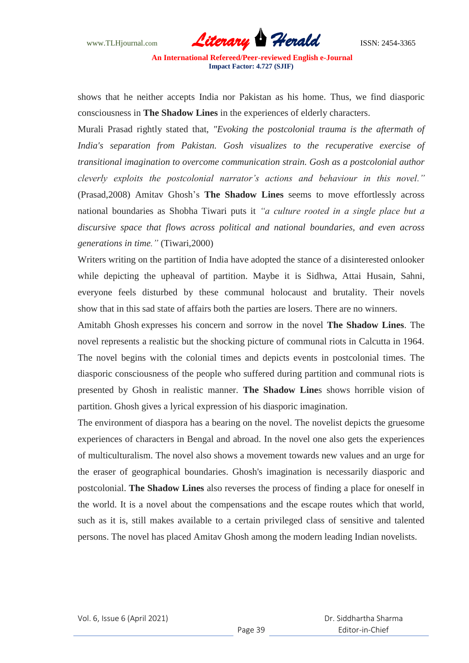www.TLHjournal.com **Literary Herald Herald ISSN: 2454-3365** 

shows that he neither accepts India nor Pakistan as his home. Thus, we find diasporic consciousness in **The Shadow Lines** in the experiences of elderly characters.

Murali Prasad rightly stated that, *"Evoking the postcolonial trauma is the aftermath of India's separation from Pakistan. Gosh visualizes to the recuperative exercise of transitional imagination to overcome communication strain. Gosh as a postcolonial author cleverly exploits the postcolonial narrator's actions and behaviour in this novel."* (Prasad,2008) Amitav Ghosh's **The Shadow Lines** seems to move effortlessly across national boundaries as Shobha Tiwari puts it *"a culture rooted in a single place but a discursive space that flows across political and national boundaries, and even across generations in time."* (Tiwari,2000)

Writers writing on the partition of India have adopted the stance of a disinterested onlooker while depicting the upheaval of partition. Maybe it is Sidhwa, Attai Husain, Sahni, everyone feels disturbed by these communal holocaust and brutality. Their novels show that in this sad state of affairs both the parties are losers. There are no winners.

Amitabh Ghosh expresses his concern and sorrow in the novel **The Shadow Lines**. The novel represents a realistic but the shocking picture of communal riots in Calcutta in 1964. The novel begins with the colonial times and depicts events in postcolonial times. The diasporic consciousness of the people who suffered during partition and communal riots is presented by Ghosh in realistic manner. **The Shadow Line**s shows horrible vision of partition. Ghosh gives a lyrical expression of his diasporic imagination.

The environment of diaspora has a bearing on the novel. The novelist depicts the gruesome experiences of characters in Bengal and abroad. In the novel one also gets the experiences of multiculturalism. The novel also shows a movement towards new values and an urge for the eraser of geographical boundaries. Ghosh's imagination is necessarily diasporic and postcolonial. **The Shadow Lines** also reverses the process of finding a place for oneself in the world. It is a novel about the compensations and the escape routes which that world, such as it is, still makes available to a certain privileged class of sensitive and talented persons. The novel has placed Amitav Ghosh among the modern leading Indian novelists.